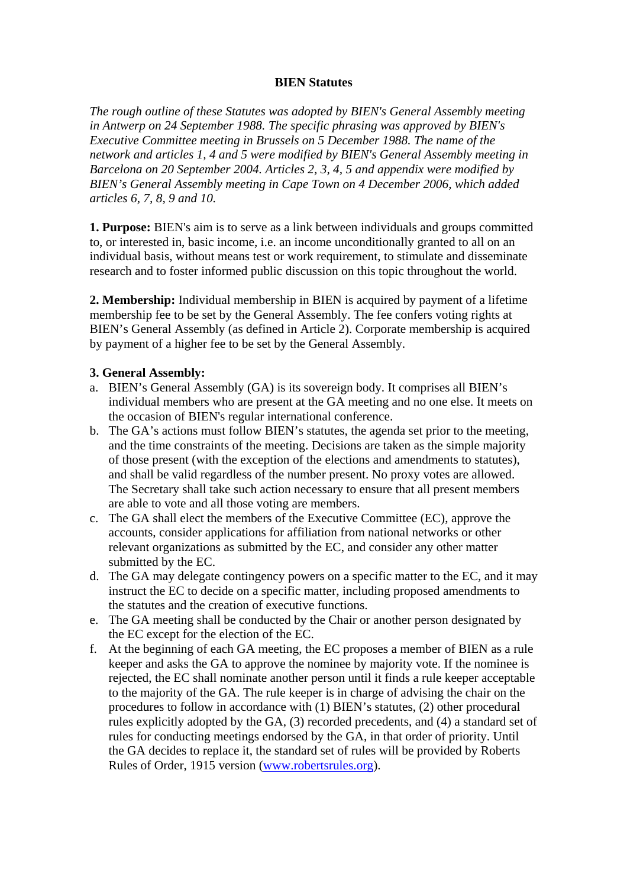### **BIEN Statutes**

*The rough outline of these Statutes was adopted by BIEN's General Assembly meeting in Antwerp on 24 September 1988. The specific phrasing was approved by BIEN's Executive Committee meeting in Brussels on 5 December 1988. The name of the network and articles 1, 4 and 5 were modified by BIEN's General Assembly meeting in Barcelona on 20 September 2004. Articles 2, 3, 4, 5 and appendix were modified by BIEN's General Assembly meeting in Cape Town on 4 December 2006, which added articles 6, 7, 8, 9 and 10.*

**1. Purpose:** BIEN's aim is to serve as a link between individuals and groups committed to, or interested in, basic income, i.e. an income unconditionally granted to all on an individual basis, without means test or work requirement, to stimulate and disseminate research and to foster informed public discussion on this topic throughout the world.

**2. Membership:** Individual membership in BIEN is acquired by payment of a lifetime membership fee to be set by the General Assembly. The fee confers voting rights at BIEN's General Assembly (as defined in Article 2). Corporate membership is acquired by payment of a higher fee to be set by the General Assembly.

### **3. General Assembly:**

- a. BIEN's General Assembly (GA) is its sovereign body. It comprises all BIEN's individual members who are present at the GA meeting and no one else. It meets on the occasion of BIEN's regular international conference.
- b. The GA's actions must follow BIEN's statutes, the agenda set prior to the meeting, and the time constraints of the meeting. Decisions are taken as the simple majority of those present (with the exception of the elections and amendments to statutes), and shall be valid regardless of the number present. No proxy votes are allowed. The Secretary shall take such action necessary to ensure that all present members are able to vote and all those voting are members.
- c. The GA shall elect the members of the Executive Committee (EC), approve the accounts, consider applications for affiliation from national networks or other relevant organizations as submitted by the EC, and consider any other matter submitted by the EC.
- d. The GA may delegate contingency powers on a specific matter to the EC, and it may instruct the EC to decide on a specific matter, including proposed amendments to the statutes and the creation of executive functions.
- e. The GA meeting shall be conducted by the Chair or another person designated by the EC except for the election of the EC.
- f. At the beginning of each GA meeting, the EC proposes a member of BIEN as a rule keeper and asks the GA to approve the nominee by majority vote. If the nominee is rejected, the EC shall nominate another person until it finds a rule keeper acceptable to the majority of the GA. The rule keeper is in charge of advising the chair on the procedures to follow in accordance with (1) BIEN's statutes, (2) other procedural rules explicitly adopted by the GA, (3) recorded precedents, and (4) a standard set of rules for conducting meetings endorsed by the GA, in that order of priority. Until the GA decides to replace it, the standard set of rules will be provided by Roberts Rules of Order, 1915 version (www.robertsrules.org).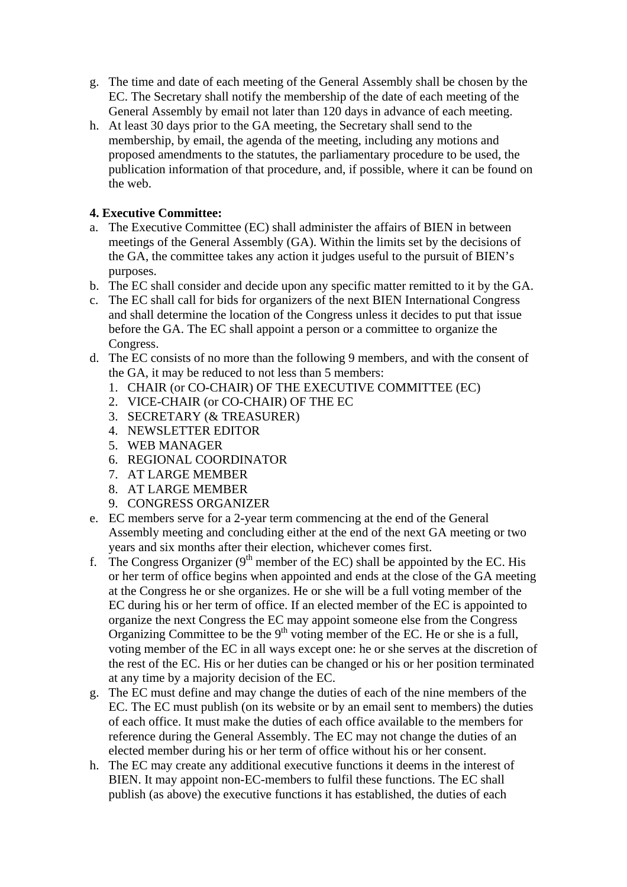- g. The time and date of each meeting of the General Assembly shall be chosen by the EC. The Secretary shall notify the membership of the date of each meeting of the General Assembly by email not later than 120 days in advance of each meeting.
- h. At least 30 days prior to the GA meeting, the Secretary shall send to the membership, by email, the agenda of the meeting, including any motions and proposed amendments to the statutes, the parliamentary procedure to be used, the publication information of that procedure, and, if possible, where it can be found on the web.

# **4. Executive Committee:**

- a. The Executive Committee (EC) shall administer the affairs of BIEN in between meetings of the General Assembly (GA). Within the limits set by the decisions of the GA, the committee takes any action it judges useful to the pursuit of BIEN's purposes.
- b. The EC shall consider and decide upon any specific matter remitted to it by the GA.
- c. The EC shall call for bids for organizers of the next BIEN International Congress and shall determine the location of the Congress unless it decides to put that issue before the GA. The EC shall appoint a person or a committee to organize the Congress.
- d. The EC consists of no more than the following 9 members, and with the consent of the GA, it may be reduced to not less than 5 members:
	- 1. CHAIR (or CO-CHAIR) OF THE EXECUTIVE COMMITTEE (EC)
	- 2. VICE-CHAIR (or CO-CHAIR) OF THE EC
	- 3. SECRETARY (& TREASURER)
	- 4. NEWSLETTER EDITOR
	- 5. WEB MANAGER
	- 6. REGIONAL COORDINATOR
	- 7. AT LARGE MEMBER
	- 8. AT LARGE MEMBER
	- 9. CONGRESS ORGANIZER
- e. EC members serve for a 2-year term commencing at the end of the General Assembly meeting and concluding either at the end of the next GA meeting or two years and six months after their election, whichever comes first.
- f. The Congress Organizer ( $9<sup>th</sup>$  member of the EC) shall be appointed by the EC. His or her term of office begins when appointed and ends at the close of the GA meeting at the Congress he or she organizes. He or she will be a full voting member of the EC during his or her term of office. If an elected member of the EC is appointed to organize the next Congress the EC may appoint someone else from the Congress Organizing Committee to be the  $9<sup>th</sup>$  voting member of the EC. He or she is a full, voting member of the EC in all ways except one: he or she serves at the discretion of the rest of the EC. His or her duties can be changed or his or her position terminated at any time by a majority decision of the EC.
- g. The EC must define and may change the duties of each of the nine members of the EC. The EC must publish (on its website or by an email sent to members) the duties of each office. It must make the duties of each office available to the members for reference during the General Assembly. The EC may not change the duties of an elected member during his or her term of office without his or her consent.
- h. The EC may create any additional executive functions it deems in the interest of BIEN. It may appoint non-EC-members to fulfil these functions. The EC shall publish (as above) the executive functions it has established, the duties of each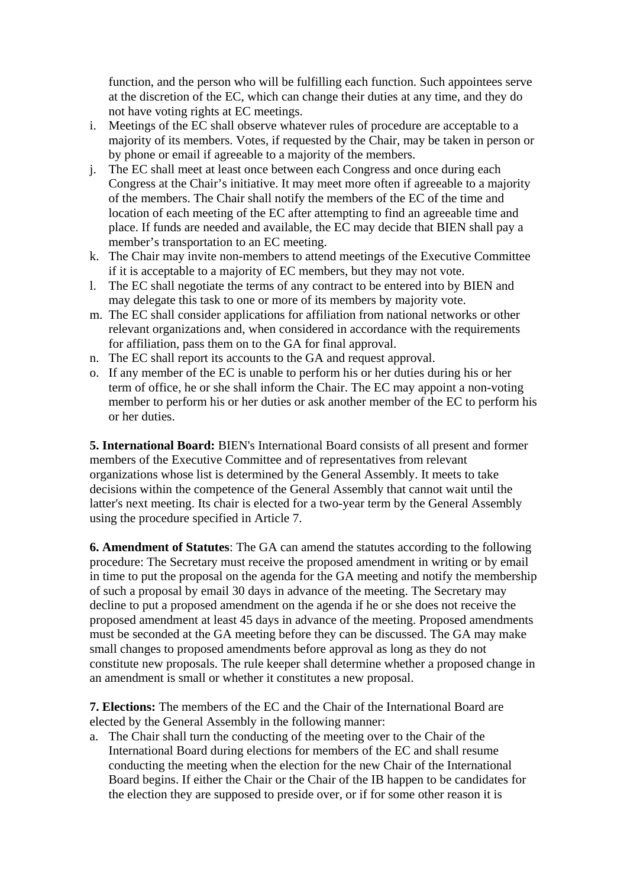function, and the person who will be fulfilling each function. Such appointees serve at the discretion of the EC, which can change their duties at any time, and they do not have voting rights at EC meetings.

- i. Meetings of the EC shall observe whatever rules of procedure are acceptable to a majority of its members. Votes, if requested by the Chair, may be taken in person or by phone or email if agreeable to a majority of the members.
- j. The EC shall meet at least once between each Congress and once during each Congress at the Chair's initiative. It may meet more often if agreeable to a majority of the members. The Chair shall notify the members of the EC of the time and location of each meeting of the EC after attempting to find an agreeable time and place. If funds are needed and available, the EC may decide that BIEN shall pay a member's transportation to an EC meeting.
- k. The Chair may invite non-members to attend meetings of the Executive Committee if it is acceptable to a majority of EC members, but they may not vote.
- l. The EC shall negotiate the terms of any contract to be entered into by BIEN and may delegate this task to one or more of its members by majority vote.
- m. The EC shall consider applications for affiliation from national networks or other relevant organizations and, when considered in accordance with the requirements for affiliation, pass them on to the GA for final approval.
- n. The EC shall report its accounts to the GA and request approval.
- o. If any member of the EC is unable to perform his or her duties during his or her term of office, he or she shall inform the Chair. The EC may appoint a non-voting member to perform his or her duties or ask another member of the EC to perform his or her duties.

**5. International Board:** BIEN's International Board consists of all present and former members of the Executive Committee and of representatives from relevant organizations whose list is determined by the General Assembly. It meets to take decisions within the competence of the General Assembly that cannot wait until the latter's next meeting. Its chair is elected for a two-year term by the General Assembly using the procedure specified in Article 7.

**6. Amendment of Statutes**: The GA can amend the statutes according to the following procedure: The Secretary must receive the proposed amendment in writing or by email in time to put the proposal on the agenda for the GA meeting and notify the membership of such a proposal by email 30 days in advance of the meeting. The Secretary may decline to put a proposed amendment on the agenda if he or she does not receive the proposed amendment at least 45 days in advance of the meeting. Proposed amendments must be seconded at the GA meeting before they can be discussed. The GA may make small changes to proposed amendments before approval as long as they do not constitute new proposals. The rule keeper shall determine whether a proposed change in an amendment is small or whether it constitutes a new proposal.

**7. Elections:** The members of the EC and the Chair of the International Board are elected by the General Assembly in the following manner:

a. The Chair shall turn the conducting of the meeting over to the Chair of the International Board during elections for members of the EC and shall resume conducting the meeting when the election for the new Chair of the International Board begins. If either the Chair or the Chair of the IB happen to be candidates for the election they are supposed to preside over, or if for some other reason it is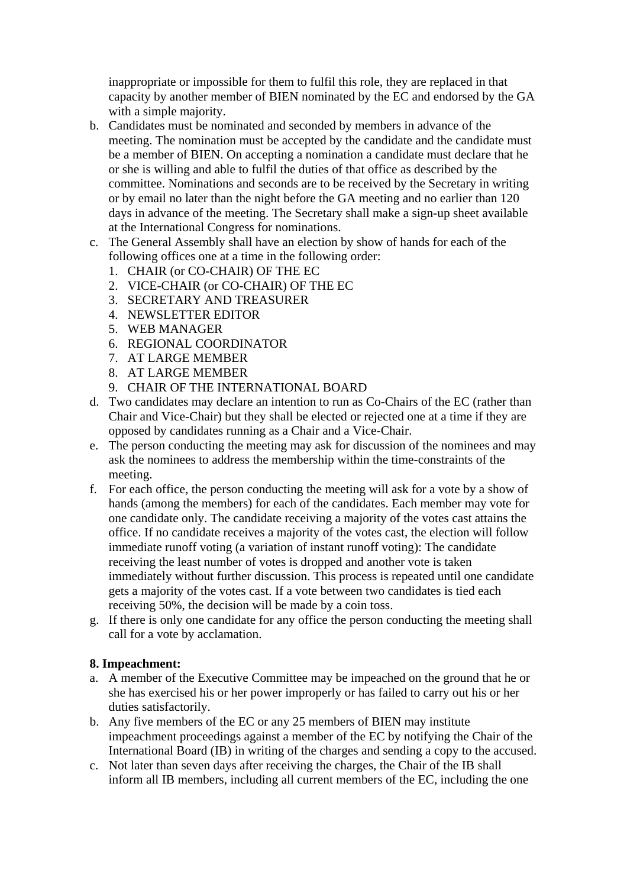inappropriate or impossible for them to fulfil this role, they are replaced in that capacity by another member of BIEN nominated by the EC and endorsed by the GA with a simple majority.

- b. Candidates must be nominated and seconded by members in advance of the meeting. The nomination must be accepted by the candidate and the candidate must be a member of BIEN. On accepting a nomination a candidate must declare that he or she is willing and able to fulfil the duties of that office as described by the committee. Nominations and seconds are to be received by the Secretary in writing or by email no later than the night before the GA meeting and no earlier than 120 days in advance of the meeting. The Secretary shall make a sign-up sheet available at the International Congress for nominations.
- c. The General Assembly shall have an election by show of hands for each of the following offices one at a time in the following order:
	- 1. CHAIR (or CO-CHAIR) OF THE EC
	- 2. VICE-CHAIR (or CO-CHAIR) OF THE EC
	- 3. SECRETARY AND TREASURER
	- 4. NEWSLETTER EDITOR
	- 5. WEB MANAGER
	- 6. REGIONAL COORDINATOR
	- 7. AT LARGE MEMBER
	- 8. AT LARGE MEMBER
	- 9. CHAIR OF THE INTERNATIONAL BOARD
- d. Two candidates may declare an intention to run as Co-Chairs of the EC (rather than Chair and Vice-Chair) but they shall be elected or rejected one at a time if they are opposed by candidates running as a Chair and a Vice-Chair.
- e. The person conducting the meeting may ask for discussion of the nominees and may ask the nominees to address the membership within the time-constraints of the meeting.
- f. For each office, the person conducting the meeting will ask for a vote by a show of hands (among the members) for each of the candidates. Each member may vote for one candidate only. The candidate receiving a majority of the votes cast attains the office. If no candidate receives a majority of the votes cast, the election will follow immediate runoff voting (a variation of instant runoff voting): The candidate receiving the least number of votes is dropped and another vote is taken immediately without further discussion. This process is repeated until one candidate gets a majority of the votes cast. If a vote between two candidates is tied each receiving 50%, the decision will be made by a coin toss.
- g. If there is only one candidate for any office the person conducting the meeting shall call for a vote by acclamation.

#### **8. Impeachment:**

- a. A member of the Executive Committee may be impeached on the ground that he or she has exercised his or her power improperly or has failed to carry out his or her duties satisfactorily.
- b. Any five members of the EC or any 25 members of BIEN may institute impeachment proceedings against a member of the EC by notifying the Chair of the International Board (IB) in writing of the charges and sending a copy to the accused.
- c. Not later than seven days after receiving the charges, the Chair of the IB shall inform all IB members, including all current members of the EC, including the one